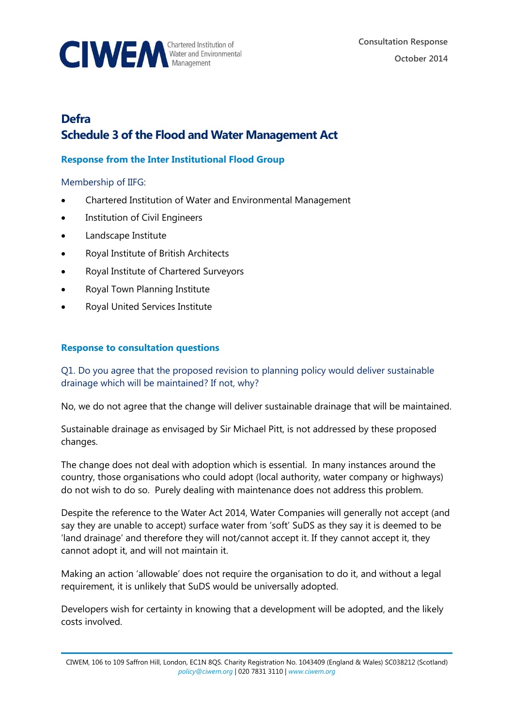

# **Defra Schedule 3 of the Flood and Water Management Act**

## **Response from the Inter Institutional Flood Group**

#### Membership of IIFG:

- Chartered Institution of Water and Environmental Management
- **•** Institution of Civil Engineers
- Landscape Institute
- Royal Institute of British Architects
- Royal Institute of Chartered Surveyors
- Royal Town Planning Institute
- Royal United Services Institute

### **Response to consultation questions**

Q1. Do you agree that the proposed revision to planning policy would deliver sustainable drainage which will be maintained? If not, why?

No, we do not agree that the change will deliver sustainable drainage that will be maintained.

Sustainable drainage as envisaged by Sir Michael Pitt, is not addressed by these proposed changes.

The change does not deal with adoption which is essential. In many instances around the country, those organisations who could adopt (local authority, water company or highways) do not wish to do so. Purely dealing with maintenance does not address this problem.

Despite the reference to the Water Act 2014, Water Companies will generally not accept (and say they are unable to accept) surface water from 'soft' SuDS as they say it is deemed to be 'land drainage' and therefore they will not/cannot accept it. If they cannot accept it, they cannot adopt it, and will not maintain it.

Making an action 'allowable' does not require the organisation to do it, and without a legal requirement, it is unlikely that SuDS would be universally adopted.

Developers wish for certainty in knowing that a development will be adopted, and the likely costs involved.

CIWEM, 106 to 109 Saffron Hill, London, EC1N 8QS. Charity Registration No. 1043409 (England & Wales) SC038212 (Scotland) *[policy@ciwem.org](mailto:policy@ciwem.org)* | 020 7831 3110 | *[www.ciwem.org](http://www.ciwem.org/)*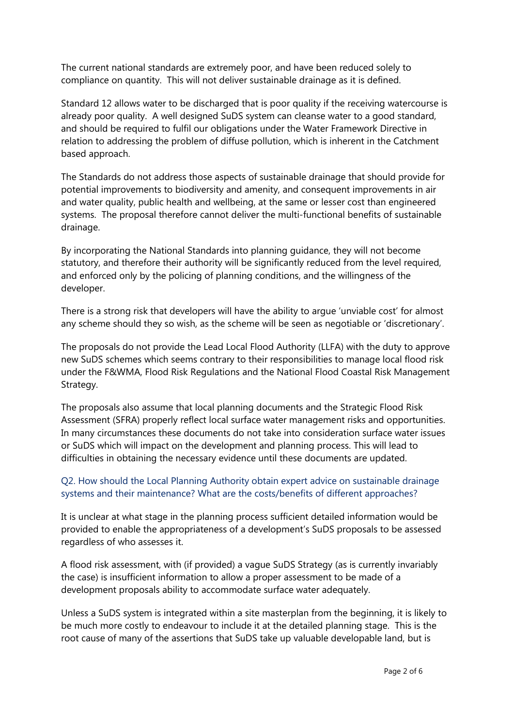The current national standards are extremely poor, and have been reduced solely to compliance on quantity. This will not deliver sustainable drainage as it is defined.

Standard 12 allows water to be discharged that is poor quality if the receiving watercourse is already poor quality. A well designed SuDS system can cleanse water to a good standard, and should be required to fulfil our obligations under the Water Framework Directive in relation to addressing the problem of diffuse pollution, which is inherent in the Catchment based approach.

The Standards do not address those aspects of sustainable drainage that should provide for potential improvements to biodiversity and amenity, and consequent improvements in air and water quality, public health and wellbeing, at the same or lesser cost than engineered systems. The proposal therefore cannot deliver the multi-functional benefits of sustainable drainage.

By incorporating the National Standards into planning guidance, they will not become statutory, and therefore their authority will be significantly reduced from the level required, and enforced only by the policing of planning conditions, and the willingness of the developer.

There is a strong risk that developers will have the ability to argue 'unviable cost' for almost any scheme should they so wish, as the scheme will be seen as negotiable or 'discretionary'.

The proposals do not provide the Lead Local Flood Authority (LLFA) with the duty to approve new SuDS schemes which seems contrary to their responsibilities to manage local flood risk under the F&WMA, Flood Risk Regulations and the National Flood Coastal Risk Management Strategy.

The proposals also assume that local planning documents and the Strategic Flood Risk Assessment (SFRA) properly reflect local surface water management risks and opportunities. In many circumstances these documents do not take into consideration surface water issues or SuDS which will impact on the development and planning process. This will lead to difficulties in obtaining the necessary evidence until these documents are updated.

# Q2. How should the Local Planning Authority obtain expert advice on sustainable drainage systems and their maintenance? What are the costs/benefits of different approaches?

It is unclear at what stage in the planning process sufficient detailed information would be provided to enable the appropriateness of a development's SuDS proposals to be assessed regardless of who assesses it.

A flood risk assessment, with (if provided) a vague SuDS Strategy (as is currently invariably the case) is insufficient information to allow a proper assessment to be made of a development proposals ability to accommodate surface water adequately.

Unless a SuDS system is integrated within a site masterplan from the beginning, it is likely to be much more costly to endeavour to include it at the detailed planning stage. This is the root cause of many of the assertions that SuDS take up valuable developable land, but is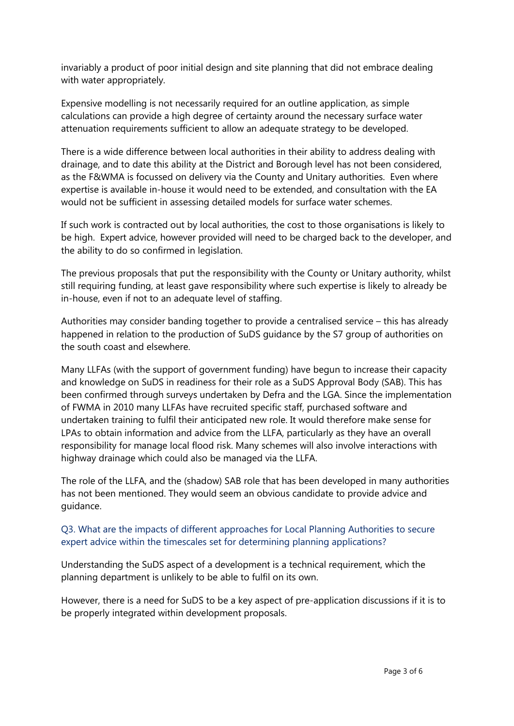invariably a product of poor initial design and site planning that did not embrace dealing with water appropriately.

Expensive modelling is not necessarily required for an outline application, as simple calculations can provide a high degree of certainty around the necessary surface water attenuation requirements sufficient to allow an adequate strategy to be developed.

There is a wide difference between local authorities in their ability to address dealing with drainage, and to date this ability at the District and Borough level has not been considered, as the F&WMA is focussed on delivery via the County and Unitary authorities. Even where expertise is available in-house it would need to be extended, and consultation with the EA would not be sufficient in assessing detailed models for surface water schemes.

If such work is contracted out by local authorities, the cost to those organisations is likely to be high. Expert advice, however provided will need to be charged back to the developer, and the ability to do so confirmed in legislation.

The previous proposals that put the responsibility with the County or Unitary authority, whilst still requiring funding, at least gave responsibility where such expertise is likely to already be in-house, even if not to an adequate level of staffing.

Authorities may consider banding together to provide a centralised service – this has already happened in relation to the production of SuDS guidance by the S7 group of authorities on the south coast and elsewhere.

Many LLFAs (with the support of government funding) have begun to increase their capacity and knowledge on SuDS in readiness for their role as a SuDS Approval Body (SAB). This has been confirmed through surveys undertaken by Defra and the LGA. Since the implementation of FWMA in 2010 many LLFAs have recruited specific staff, purchased software and undertaken training to fulfil their anticipated new role. It would therefore make sense for LPAs to obtain information and advice from the LLFA, particularly as they have an overall responsibility for manage local flood risk. Many schemes will also involve interactions with highway drainage which could also be managed via the LLFA.

The role of the LLFA, and the (shadow) SAB role that has been developed in many authorities has not been mentioned. They would seem an obvious candidate to provide advice and guidance.

### Q3. What are the impacts of different approaches for Local Planning Authorities to secure expert advice within the timescales set for determining planning applications?

Understanding the SuDS aspect of a development is a technical requirement, which the planning department is unlikely to be able to fulfil on its own.

However, there is a need for SuDS to be a key aspect of pre-application discussions if it is to be properly integrated within development proposals.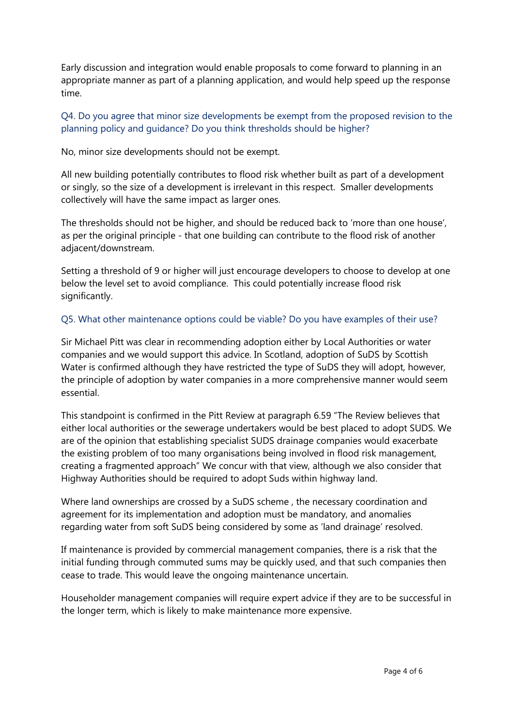Early discussion and integration would enable proposals to come forward to planning in an appropriate manner as part of a planning application, and would help speed up the response time.

### Q4. Do you agree that minor size developments be exempt from the proposed revision to the planning policy and guidance? Do you think thresholds should be higher?

No, minor size developments should not be exempt.

All new building potentially contributes to flood risk whether built as part of a development or singly, so the size of a development is irrelevant in this respect. Smaller developments collectively will have the same impact as larger ones.

The thresholds should not be higher, and should be reduced back to 'more than one house', as per the original principle - that one building can contribute to the flood risk of another adjacent/downstream.

Setting a threshold of 9 or higher will just encourage developers to choose to develop at one below the level set to avoid compliance. This could potentially increase flood risk significantly.

### Q5. What other maintenance options could be viable? Do you have examples of their use?

Sir Michael Pitt was clear in recommending adoption either by Local Authorities or water companies and we would support this advice. In Scotland, adoption of SuDS by Scottish Water is confirmed although they have restricted the type of SuDS they will adopt, however, the principle of adoption by water companies in a more comprehensive manner would seem essential.

This standpoint is confirmed in the Pitt Review at paragraph 6.59 "The Review believes that either local authorities or the sewerage undertakers would be best placed to adopt SUDS. We are of the opinion that establishing specialist SUDS drainage companies would exacerbate the existing problem of too many organisations being involved in flood risk management, creating a fragmented approach" We concur with that view, although we also consider that Highway Authorities should be required to adopt Suds within highway land.

Where land ownerships are crossed by a SuDS scheme , the necessary coordination and agreement for its implementation and adoption must be mandatory, and anomalies regarding water from soft SuDS being considered by some as 'land drainage' resolved.

If maintenance is provided by commercial management companies, there is a risk that the initial funding through commuted sums may be quickly used, and that such companies then cease to trade. This would leave the ongoing maintenance uncertain.

Householder management companies will require expert advice if they are to be successful in the longer term, which is likely to make maintenance more expensive.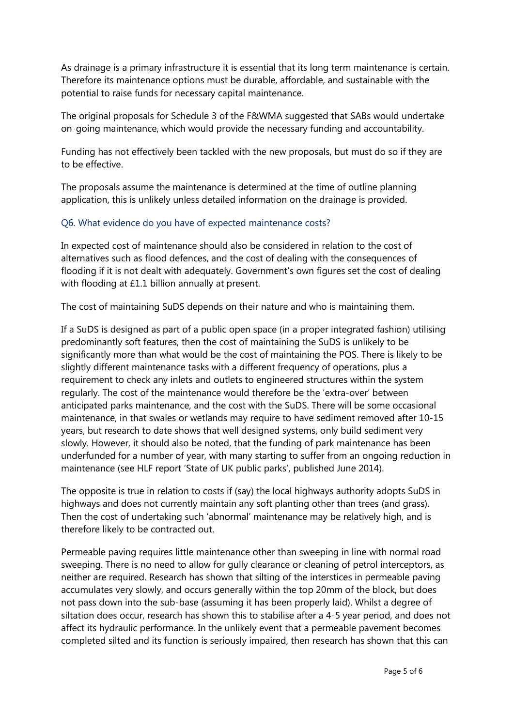As drainage is a primary infrastructure it is essential that its long term maintenance is certain. Therefore its maintenance options must be durable, affordable, and sustainable with the potential to raise funds for necessary capital maintenance.

The original proposals for Schedule 3 of the F&WMA suggested that SABs would undertake on-going maintenance, which would provide the necessary funding and accountability.

Funding has not effectively been tackled with the new proposals, but must do so if they are to be effective.

The proposals assume the maintenance is determined at the time of outline planning application, this is unlikely unless detailed information on the drainage is provided.

### Q6. What evidence do you have of expected maintenance costs?

In expected cost of maintenance should also be considered in relation to the cost of alternatives such as flood defences, and the cost of dealing with the consequences of flooding if it is not dealt with adequately. Government's own figures set the cost of dealing with flooding at £1.1 billion annually at present.

The cost of maintaining SuDS depends on their nature and who is maintaining them.

If a SuDS is designed as part of a public open space (in a proper integrated fashion) utilising predominantly soft features, then the cost of maintaining the SuDS is unlikely to be significantly more than what would be the cost of maintaining the POS. There is likely to be slightly different maintenance tasks with a different frequency of operations, plus a requirement to check any inlets and outlets to engineered structures within the system regularly. The cost of the maintenance would therefore be the 'extra-over' between anticipated parks maintenance, and the cost with the SuDS. There will be some occasional maintenance, in that swales or wetlands may require to have sediment removed after 10-15 years, but research to date shows that well designed systems, only build sediment very slowly. However, it should also be noted, that the funding of park maintenance has been underfunded for a number of year, with many starting to suffer from an ongoing reduction in maintenance (see HLF report 'State of UK public parks', published June 2014).

The opposite is true in relation to costs if (say) the local highways authority adopts SuDS in highways and does not currently maintain any soft planting other than trees (and grass). Then the cost of undertaking such 'abnormal' maintenance may be relatively high, and is therefore likely to be contracted out.

Permeable paving requires little maintenance other than sweeping in line with normal road sweeping. There is no need to allow for gully clearance or cleaning of petrol interceptors, as neither are required. Research has shown that silting of the interstices in permeable paving accumulates very slowly, and occurs generally within the top 20mm of the block, but does not pass down into the sub-base (assuming it has been properly laid). Whilst a degree of siltation does occur, research has shown this to stabilise after a 4-5 year period, and does not affect its hydraulic performance. In the unlikely event that a permeable pavement becomes completed silted and its function is seriously impaired, then research has shown that this can